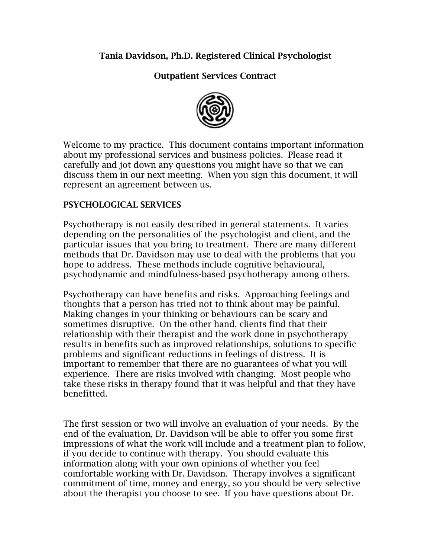## Tania Davidson, Ph.D. Registered Clinical Psychologist

Outpatient Services Contract



Welcome to my practice. This document contains important information about my professional services and business policies. Please read it carefully and jot down any questions you might have so that we can discuss them in our next meeting. When you sign this document, it will represent an agreement between us.

## PSYCHOLOGICAL SERVICES

Psychotherapy is not easily described in general statements. It varies depending on the personalities of the psychologist and client, and the particular issues that you bring to treatment. There are many different methods that Dr. Davidson may use to deal with the problems that you hope to address. These methods include cognitive behavioural, psychodynamic and mindfulness-based psychotherapy among others.

Psychotherapy can have benefits and risks. Approaching feelings and thoughts that a person has tried not to think about may be painful. Making changes in your thinking or behaviours can be scary and sometimes disruptive. On the other hand, clients find that their relationship with their therapist and the work done in psychotherapy results in benefits such as improved relationships, solutions to specific problems and significant reductions in feelings of distress. It is important to remember that there are no guarantees of what you will experience. There are risks involved with changing. Most people who take these risks in therapy found that it was helpful and that they have benefitted.

The first session or two will involve an evaluation of your needs. By the end of the evaluation, Dr. Davidson will be able to offer you some first impressions of what the work will include and a treatment plan to follow, if you decide to continue with therapy. You should evaluate this information along with your own opinions of whether you feel comfortable working with Dr. Davidson. Therapy involves a significant commitment of time, money and energy, so you should be very selective about the therapist you choose to see. If you have questions about Dr.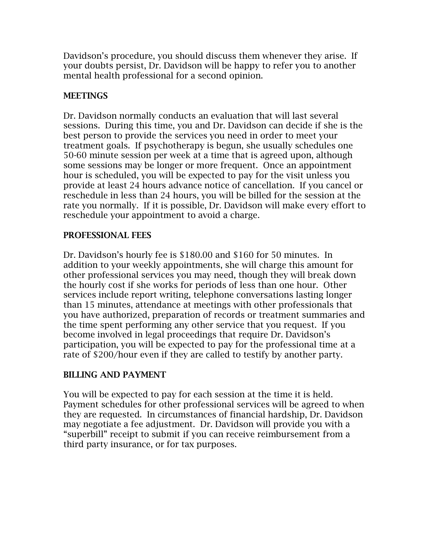Davidson's procedure, you should discuss them whenever they arise. If your doubts persist, Dr. Davidson will be happy to refer you to another mental health professional for a second opinion.

## MEETINGS

Dr. Davidson normally conducts an evaluation that will last several sessions. During this time, you and Dr. Davidson can decide if she is the best person to provide the services you need in order to meet your treatment goals. If psychotherapy is begun, she usually schedules one 50-60 minute session per week at a time that is agreed upon, although some sessions may be longer or more frequent. Once an appointment hour is scheduled, you will be expected to pay for the visit unless you provide at least 24 hours advance notice of cancellation. If you cancel or reschedule in less than 24 hours, you will be billed for the session at the rate you normally. If it is possible, Dr. Davidson will make every effort to reschedule your appointment to avoid a charge.

#### PROFESSIONAL FEES

Dr. Davidson's hourly fee is \$180.00 and \$160 for 50 minutes. In addition to your weekly appointments, she will charge this amount for other professional services you may need, though they will break down the hourly cost if she works for periods of less than one hour. Other services include report writing, telephone conversations lasting longer than 15 minutes, attendance at meetings with other professionals that you have authorized, preparation of records or treatment summaries and the time spent performing any other service that you request. If you become involved in legal proceedings that require Dr. Davidson's participation, you will be expected to pay for the professional time at a rate of \$200/hour even if they are called to testify by another party.

# BILLING AND PAYMENT

You will be expected to pay for each session at the time it is held. Payment schedules for other professional services will be agreed to when they are requested. In circumstances of financial hardship, Dr. Davidson may negotiate a fee adjustment. Dr. Davidson will provide you with a "superbill" receipt to submit if you can receive reimbursement from a third party insurance, or for tax purposes.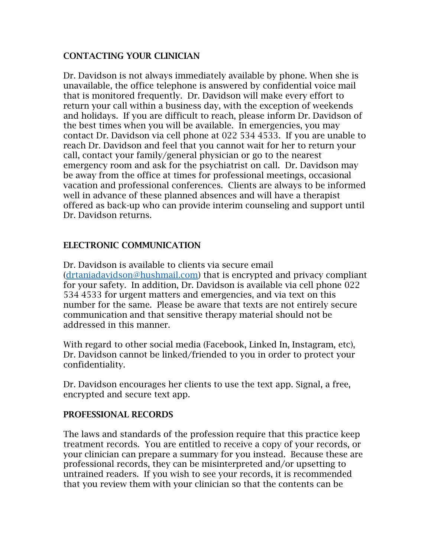## CONTACTING YOUR CLINICIAN

Dr. Davidson is not always immediately available by phone. When she is unavailable, the office telephone is answered by confidential voice mail that is monitored frequently. Dr. Davidson will make every effort to return your call within a business day, with the exception of weekends and holidays. If you are difficult to reach, please inform Dr. Davidson of the best times when you will be available. In emergencies, you may contact Dr. Davidson via cell phone at 022 534 4533. If you are unable to reach Dr. Davidson and feel that you cannot wait for her to return your call, contact your family/general physician or go to the nearest emergency room and ask for the psychiatrist on call. Dr. Davidson may be away from the office at times for professional meetings, occasional vacation and professional conferences. Clients are always to be informed well in advance of these planned absences and will have a therapist offered as back-up who can provide interim counseling and support until Dr. Davidson returns.

## ELECTRONIC COMMUNICATION

Dr. Davidson is available to clients via secure email [\(drtaniadavidson@hushmail.com\)](mailto:drtaniadavidson@hushmail.com) that is encrypted and privacy compliant for your safety. In addition, Dr. Davidson is available via cell phone 022 534 4533 for urgent matters and emergencies, and via text on this number for the same. Please be aware that texts are not entirely secure communication and that sensitive therapy material should not be addressed in this manner.

With regard to other social media (Facebook, Linked In, Instagram, etc), Dr. Davidson cannot be linked/friended to you in order to protect your confidentiality.

Dr. Davidson encourages her clients to use the text app. Signal, a free, encrypted and secure text app.

#### PROFESSIONAL RECORDS

The laws and standards of the profession require that this practice keep treatment records. You are entitled to receive a copy of your records, or your clinician can prepare a summary for you instead. Because these are professional records, they can be misinterpreted and/or upsetting to untrained readers. If you wish to see your records, it is recommended that you review them with your clinician so that the contents can be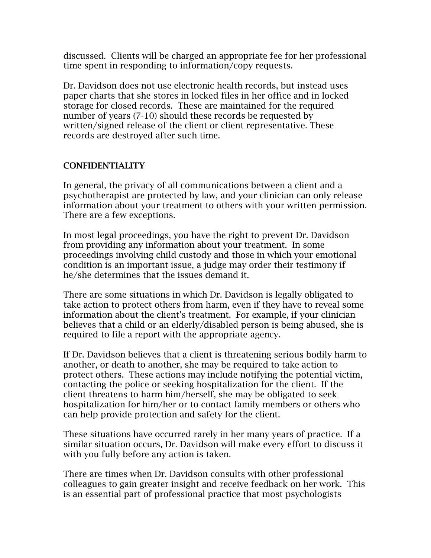discussed. Clients will be charged an appropriate fee for her professional time spent in responding to information/copy requests.

Dr. Davidson does not use electronic health records, but instead uses paper charts that she stores in locked files in her office and in locked storage for closed records. These are maintained for the required number of years (7-10) should these records be requested by written/signed release of the client or client representative. These records are destroyed after such time.

#### CONFIDENTIALITY

In general, the privacy of all communications between a client and a psychotherapist are protected by law, and your clinician can only release information about your treatment to others with your written permission. There are a few exceptions.

In most legal proceedings, you have the right to prevent Dr. Davidson from providing any information about your treatment. In some proceedings involving child custody and those in which your emotional condition is an important issue, a judge may order their testimony if he/she determines that the issues demand it.

There are some situations in which Dr. Davidson is legally obligated to take action to protect others from harm, even if they have to reveal some information about the client's treatment. For example, if your clinician believes that a child or an elderly/disabled person is being abused, she is required to file a report with the appropriate agency.

If Dr. Davidson believes that a client is threatening serious bodily harm to another, or death to another, she may be required to take action to protect others. These actions may include notifying the potential victim, contacting the police or seeking hospitalization for the client. If the client threatens to harm him/herself, she may be obligated to seek hospitalization for him/her or to contact family members or others who can help provide protection and safety for the client.

These situations have occurred rarely in her many years of practice. If a similar situation occurs, Dr. Davidson will make every effort to discuss it with you fully before any action is taken.

There are times when Dr. Davidson consults with other professional colleagues to gain greater insight and receive feedback on her work. This is an essential part of professional practice that most psychologists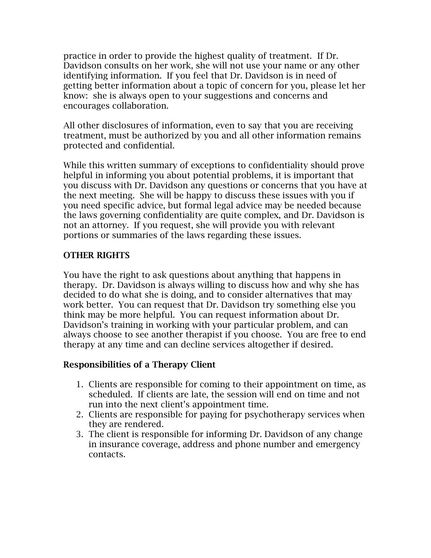practice in order to provide the highest quality of treatment. If Dr. Davidson consults on her work, she will not use your name or any other identifying information. If you feel that Dr. Davidson is in need of getting better information about a topic of concern for you, please let her know: she is always open to your suggestions and concerns and encourages collaboration.

All other disclosures of information, even to say that you are receiving treatment, must be authorized by you and all other information remains protected and confidential.

While this written summary of exceptions to confidentiality should prove helpful in informing you about potential problems, it is important that you discuss with Dr. Davidson any questions or concerns that you have at the next meeting. She will be happy to discuss these issues with you if you need specific advice, but formal legal advice may be needed because the laws governing confidentiality are quite complex, and Dr. Davidson is not an attorney. If you request, she will provide you with relevant portions or summaries of the laws regarding these issues.

# OTHER RIGHTS

You have the right to ask questions about anything that happens in therapy. Dr. Davidson is always willing to discuss how and why she has decided to do what she is doing, and to consider alternatives that may work better. You can request that Dr. Davidson try something else you think may be more helpful. You can request information about Dr. Davidson's training in working with your particular problem, and can always choose to see another therapist if you choose. You are free to end therapy at any time and can decline services altogether if desired.

#### Responsibilities of a Therapy Client

- 1. Clients are responsible for coming to their appointment on time, as scheduled. If clients are late, the session will end on time and not run into the next client's appointment time.
- 2. Clients are responsible for paying for psychotherapy services when they are rendered.
- 3. The client is responsible for informing Dr. Davidson of any change in insurance coverage, address and phone number and emergency contacts.